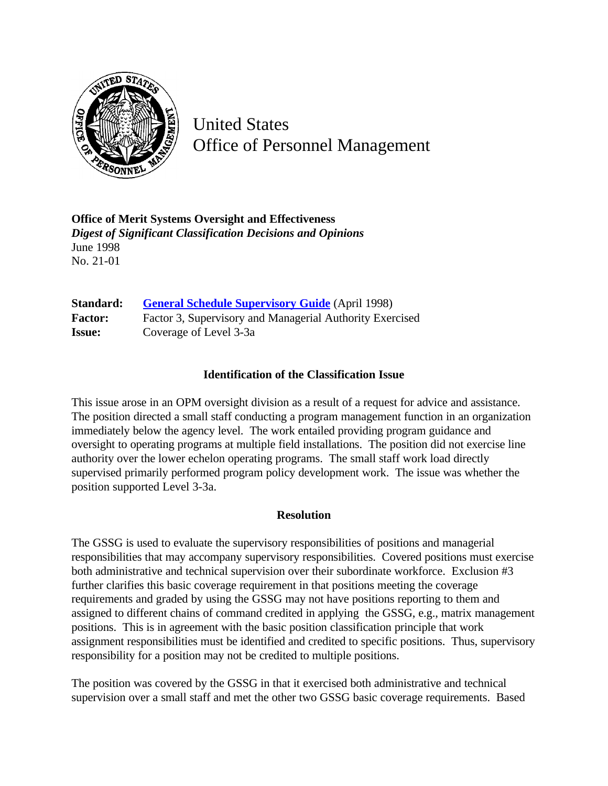

United States Office of Personnel Management

**Office of Merit Systems Oversight and Effectiveness** *Digest of Significant Classification Decisions and Opinions* June 1998 No. 21-01

| Standard:      | <b>General Schedule Supervisory Guide</b> (April 1998)   |
|----------------|----------------------------------------------------------|
| <b>Factor:</b> | Factor 3, Supervisory and Managerial Authority Exercised |
| <b>Issue:</b>  | Coverage of Level 3-3a                                   |

## **Identification of the Classification Issue**

This issue arose in an OPM oversight division as a result of a request for advice and assistance. The position directed a small staff conducting a program management function in an organization immediately below the agency level. The work entailed providing program guidance and oversight to operating programs at multiple field installations. The position did not exercise line authority over the lower echelon operating programs. The small staff work load directly supervised primarily performed program policy development work. The issue was whether the position supported Level 3-3a.

## **Resolution**

The GSSG is used to evaluate the supervisory responsibilities of positions and managerial responsibilities that may accompany supervisory responsibilities. Covered positions must exercise both administrative and technical supervision over their subordinate workforce. Exclusion #3 further clarifies this basic coverage requirement in that positions meeting the coverage requirements and graded by using the GSSG may not have positions reporting to them and assigned to different chains of command credited in applying the GSSG, e.g., matrix management positions. This is in agreement with the basic position classification principle that work assignment responsibilities must be identified and credited to specific positions. Thus, supervisory responsibility for a position may not be credited to multiple positions.

The position was covered by the GSSG in that it exercised both administrative and technical supervision over a small staff and met the other two GSSG basic coverage requirements. Based